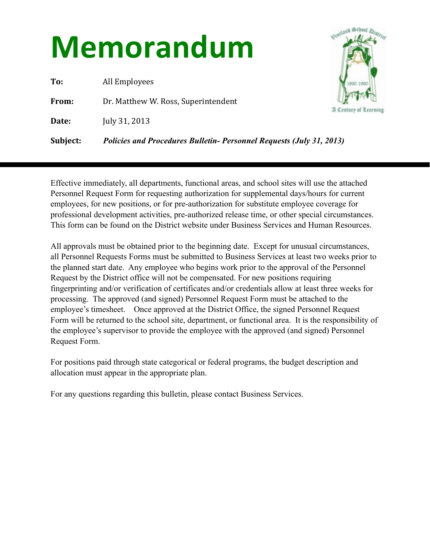## **Memorandum**

To: All Employees **From:** Dr. Matthew W. Ross, Superintendent

**Date: Iuly 31, 2013** 



**Subject:** *Policies and Procedures Bulletin- Personnel Requests (July 31, 2013)*

Effective immediately, all departments, functional areas, and school sites will use the attached Personnel Request Form for requesting authorization for supplemental days/hours for current employees, for new positions, or for pre-authorization for substitute employee coverage for professional development activities, pre-authorized release time, or other special circumstances. This form can be found on the District website under Business Services and Human Resources.

All approvals must be obtained prior to the beginning date. Except for unusual circumstances, all Personnel Requests Forms must be submitted to Business Services at least two weeks prior to the planned start date. Any employee who begins work prior to the approval of the Personnel Request by the District office will not be compensated. For new positions requiring fingerprinting and/or verification of certificates and/or credentials allow at least three weeks for processing. The approved (and signed) Personnel Request Form must be attached to the employee's timesheet. Once approved at the District Office, the signed Personnel Request Form will be returned to the school site, department, or functional area. It is the responsibility of the employee's supervisor to provide the employee with the approved (and signed) Personnel Request Form.

For positions paid through state categorical or federal programs, the budget description and allocation must appear in the appropriate plan.

For any questions regarding this bulletin, please contact Business Services.